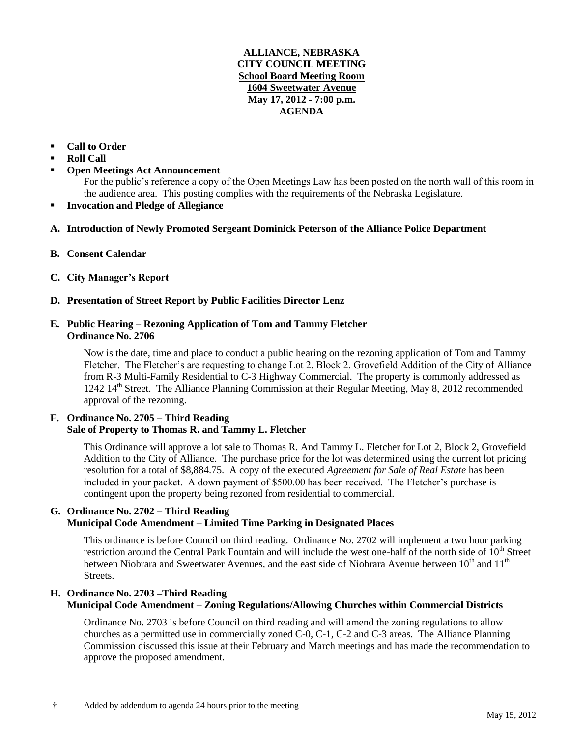#### **ALLIANCE, NEBRASKA CITY COUNCIL MEETING School Board Meeting Room 1604 Sweetwater Avenue May 17, 2012 - 7:00 p.m. AGENDA**

### **Call to Order**

- **Roll Call**
- **Open Meetings Act Announcement**

For the public's reference a copy of the Open Meetings Law has been posted on the north wall of this room in the audience area. This posting complies with the requirements of the Nebraska Legislature.

- **Invocation and Pledge of Allegiance**
- **A. Introduction of Newly Promoted Sergeant Dominick Peterson of the Alliance Police Department**
- **B. Consent Calendar**
- **C. City Manager's Report**
- **D. Presentation of Street Report by Public Facilities Director Lenz**

### **E. Public Hearing – Rezoning Application of Tom and Tammy Fletcher Ordinance No. 2706**

Now is the date, time and place to conduct a public hearing on the rezoning application of Tom and Tammy Fletcher. The Fletcher's are requesting to change Lot 2, Block 2, Grovefield Addition of the City of Alliance from R-3 Multi-Family Residential to C-3 Highway Commercial. The property is commonly addressed as 1242 14th Street. The Alliance Planning Commission at their Regular Meeting, May 8, 2012 recommended approval of the rezoning.

### **F. Ordinance No. 2705 – Third Reading Sale of Property to Thomas R. and Tammy L. Fletcher**

This Ordinance will approve a lot sale to Thomas R. And Tammy L. Fletcher for Lot 2, Block 2, Grovefield Addition to the City of Alliance. The purchase price for the lot was determined using the current lot pricing resolution for a total of \$8,884.75. A copy of the executed *Agreement for Sale of Real Estate* has been included in your packet. A down payment of \$500.00 has been received. The Fletcher's purchase is contingent upon the property being rezoned from residential to commercial.

### **G. Ordinance No. 2702 – Third Reading Municipal Code Amendment – Limited Time Parking in Designated Places**

This ordinance is before Council on third reading. Ordinance No. 2702 will implement a two hour parking restriction around the Central Park Fountain and will include the west one-half of the north side of  $10<sup>th</sup>$  Street between Niobrara and Sweetwater Avenues, and the east side of Niobrara Avenue between  $10^{th}$  and  $11^{th}$ Streets.

## **H. Ordinance No. 2703 –Third Reading Municipal Code Amendment – Zoning Regulations/Allowing Churches within Commercial Districts**

Ordinance No. 2703 is before Council on third reading and will amend the zoning regulations to allow churches as a permitted use in commercially zoned C-0, C-1, C-2 and C-3 areas. The Alliance Planning Commission discussed this issue at their February and March meetings and has made the recommendation to approve the proposed amendment.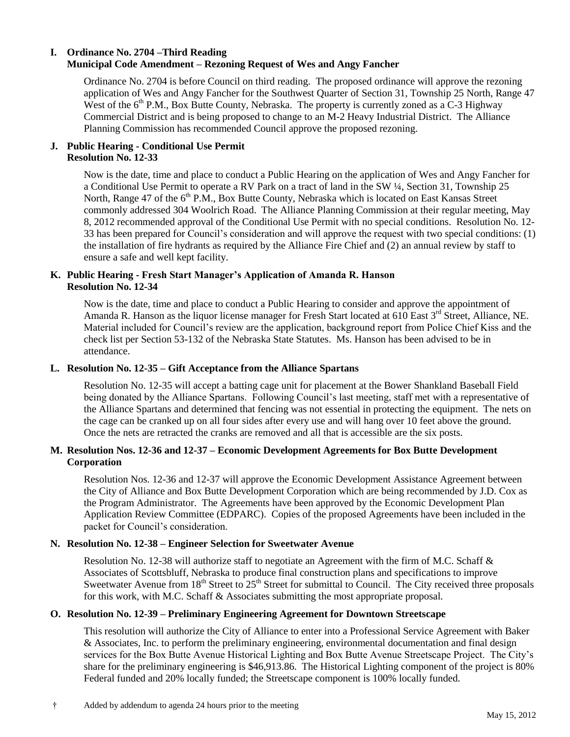### **I. Ordinance No. 2704 –Third Reading Municipal Code Amendment – Rezoning Request of Wes and Angy Fancher**

Ordinance No. 2704 is before Council on third reading. The proposed ordinance will approve the rezoning application of Wes and Angy Fancher for the Southwest Quarter of Section 31, Township 25 North, Range 47 West of the  $6<sup>th</sup>$  P.M., Box Butte County, Nebraska. The property is currently zoned as a  $C-3$  Highway Commercial District and is being proposed to change to an M-2 Heavy Industrial District. The Alliance Planning Commission has recommended Council approve the proposed rezoning.

## **J. Public Hearing - Conditional Use Permit Resolution No. 12-33**

Now is the date, time and place to conduct a Public Hearing on the application of Wes and Angy Fancher for a Conditional Use Permit to operate a RV Park on a tract of land in the SW ¼, Section 31, Township 25 North, Range 47 of the  $6<sup>th</sup>$  P.M., Box Butte County, Nebraska which is located on East Kansas Street commonly addressed 304 Woolrich Road. The Alliance Planning Commission at their regular meeting, May 8, 2012 recommended approval of the Conditional Use Permit with no special conditions. Resolution No. 12- 33 has been prepared for Council's consideration and will approve the request with two special conditions: (1) the installation of fire hydrants as required by the Alliance Fire Chief and (2) an annual review by staff to ensure a safe and well kept facility.

### **K. Public Hearing - Fresh Start Manager's Application of Amanda R. Hanson Resolution No. 12-34**

Now is the date, time and place to conduct a Public Hearing to consider and approve the appointment of Amanda R. Hanson as the liquor license manager for Fresh Start located at 610 East 3<sup>rd</sup> Street, Alliance, NE. Material included for Council's review are the application, background report from Police Chief Kiss and the check list per Section 53-132 of the Nebraska State Statutes. Ms. Hanson has been advised to be in attendance.

### **L. Resolution No. 12-35 – Gift Acceptance from the Alliance Spartans**

Resolution No. 12-35 will accept a batting cage unit for placement at the Bower Shankland Baseball Field being donated by the Alliance Spartans. Following Council's last meeting, staff met with a representative of the Alliance Spartans and determined that fencing was not essential in protecting the equipment. The nets on the cage can be cranked up on all four sides after every use and will hang over 10 feet above the ground. Once the nets are retracted the cranks are removed and all that is accessible are the six posts.

### **M. Resolution Nos. 12-36 and 12-37 – Economic Development Agreements for Box Butte Development Corporation**

Resolution Nos. 12-36 and 12-37 will approve the Economic Development Assistance Agreement between the City of Alliance and Box Butte Development Corporation which are being recommended by J.D. Cox as the Program Administrator. The Agreements have been approved by the Economic Development Plan Application Review Committee (EDPARC). Copies of the proposed Agreements have been included in the packet for Council's consideration.

### **N. Resolution No. 12-38 – Engineer Selection for Sweetwater Avenue**

Resolution No. 12-38 will authorize staff to negotiate an Agreement with the firm of M.C. Schaff & Associates of Scottsbluff, Nebraska to produce final construction plans and specifications to improve Sweetwater Avenue from  $18<sup>th</sup>$  Street to  $25<sup>th</sup>$  Street for submittal to Council. The City received three proposals for this work, with M.C. Schaff & Associates submitting the most appropriate proposal.

#### **O. Resolution No. 12-39 – Preliminary Engineering Agreement for Downtown Streetscape**

This resolution will authorize the City of Alliance to enter into a Professional Service Agreement with Baker & Associates, Inc. to perform the preliminary engineering, environmental documentation and final design services for the Box Butte Avenue Historical Lighting and Box Butte Avenue Streetscape Project. The City's share for the preliminary engineering is \$46,913.86. The Historical Lighting component of the project is 80% Federal funded and 20% locally funded; the Streetscape component is 100% locally funded.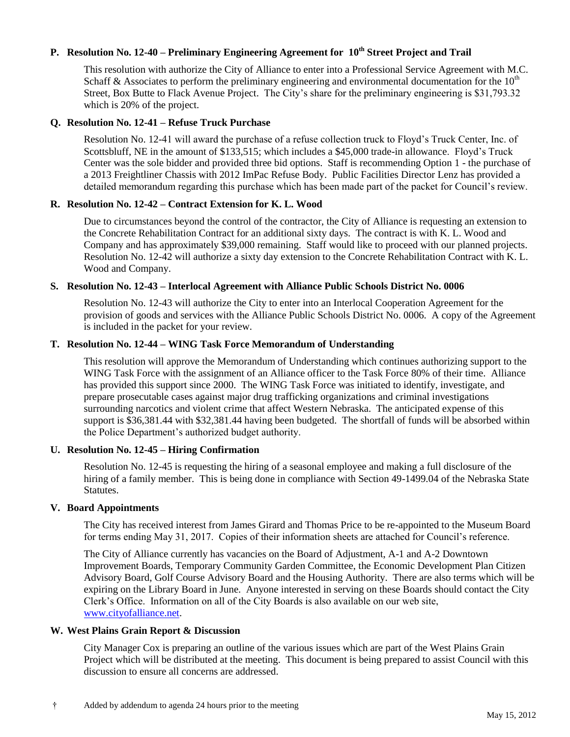# **P. Resolution No. 12-40 – Preliminary Engineering Agreement for 10th Street Project and Trail**

This resolution with authorize the City of Alliance to enter into a Professional Service Agreement with M.C. Schaff & Associates to perform the preliminary engineering and environmental documentation for the  $10<sup>th</sup>$ Street, Box Butte to Flack Avenue Project. The City's share for the preliminary engineering is \$31,793.32 which is 20% of the project.

#### **Q. Resolution No. 12-41 – Refuse Truck Purchase**

Resolution No. 12-41 will award the purchase of a refuse collection truck to Floyd's Truck Center, Inc. of Scottsbluff, NE in the amount of \$133,515; which includes a \$45,000 trade-in allowance. Floyd's Truck Center was the sole bidder and provided three bid options. Staff is recommending Option 1 - the purchase of a 2013 Freightliner Chassis with 2012 ImPac Refuse Body. Public Facilities Director Lenz has provided a detailed memorandum regarding this purchase which has been made part of the packet for Council's review.

#### **R. Resolution No. 12-42 – Contract Extension for K. L. Wood**

Due to circumstances beyond the control of the contractor, the City of Alliance is requesting an extension to the Concrete Rehabilitation Contract for an additional sixty days. The contract is with K. L. Wood and Company and has approximately \$39,000 remaining. Staff would like to proceed with our planned projects. Resolution No. 12-42 will authorize a sixty day extension to the Concrete Rehabilitation Contract with K. L. Wood and Company.

#### **S. Resolution No. 12-43 – Interlocal Agreement with Alliance Public Schools District No. 0006**

Resolution No. 12-43 will authorize the City to enter into an Interlocal Cooperation Agreement for the provision of goods and services with the Alliance Public Schools District No. 0006. A copy of the Agreement is included in the packet for your review.

### **T. Resolution No. 12-44 – WING Task Force Memorandum of Understanding**

This resolution will approve the Memorandum of Understanding which continues authorizing support to the WING Task Force with the assignment of an Alliance officer to the Task Force 80% of their time. Alliance has provided this support since 2000. The WING Task Force was initiated to identify, investigate, and prepare prosecutable cases against major drug trafficking organizations and criminal investigations surrounding narcotics and violent crime that affect Western Nebraska. The anticipated expense of this support is \$36,381.44 with \$32,381.44 having been budgeted. The shortfall of funds will be absorbed within the Police Department's authorized budget authority.

### **U. Resolution No. 12-45 – Hiring Confirmation**

Resolution No. 12-45 is requesting the hiring of a seasonal employee and making a full disclosure of the hiring of a family member. This is being done in compliance with Section 49-1499.04 of the Nebraska State Statutes.

#### **V. Board Appointments**

The City has received interest from James Girard and Thomas Price to be re-appointed to the Museum Board for terms ending May 31, 2017. Copies of their information sheets are attached for Council's reference.

The City of Alliance currently has vacancies on the Board of Adjustment, A-1 and A-2 Downtown Improvement Boards, Temporary Community Garden Committee, the Economic Development Plan Citizen Advisory Board, Golf Course Advisory Board and the Housing Authority. There are also terms which will be expiring on the Library Board in June. Anyone interested in serving on these Boards should contact the City Clerk's Office. Information on all of the City Boards is also available on our web site, [www.cityofalliance.net.](http://www.cityofalliance.net/)

#### **W. West Plains Grain Report & Discussion**

City Manager Cox is preparing an outline of the various issues which are part of the West Plains Grain Project which will be distributed at the meeting. This document is being prepared to assist Council with this discussion to ensure all concerns are addressed.